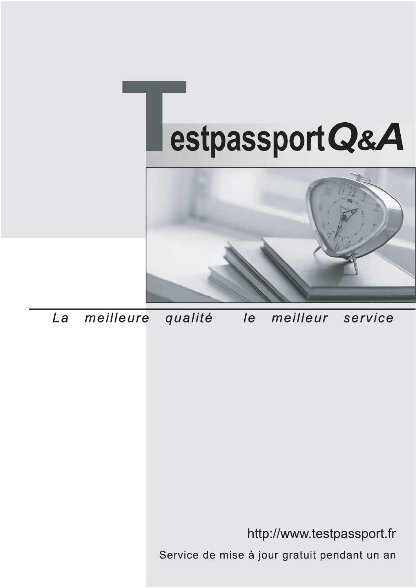



meilleure La qualité  $\overline{e}$ meilleur service

http://www.testpassport.fr

Service de mise à jour gratuit pendant un an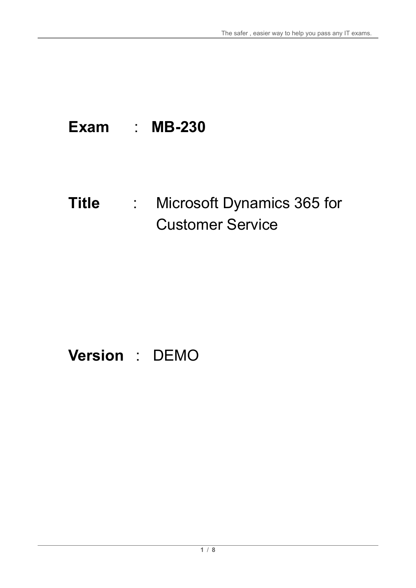# **Exam** : **MB-230**

## **Title** : Microsoft Dynamics 365 for Customer Service

# **Version** : DEMO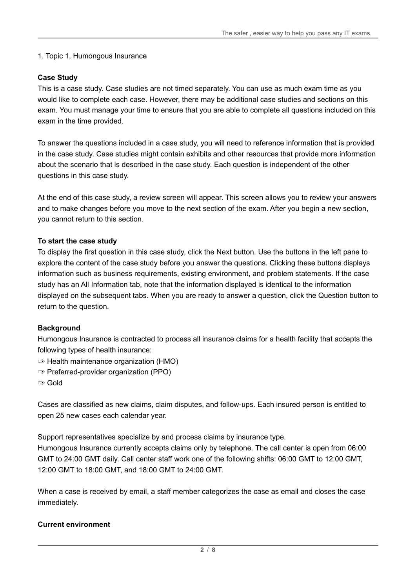#### 1. Topic 1, Humongous Insurance

#### **Case Study**

This is a case study. Case studies are not timed separately. You can use as much exam time as you would like to complete each case. However, there may be additional case studies and sections on this exam. You must manage your time to ensure that you are able to complete all questions included on this exam in the time provided.

To answer the questions included in a case study, you will need to reference information that is provided in the case study. Case studies might contain exhibits and other resources that provide more information about the scenario that is described in the case study. Each question is independent of the other questions in this case study.

At the end of this case study, a review screen will appear. This screen allows you to review your answers and to make changes before you move to the next section of the exam. After you begin a new section, you cannot return to this section.

#### **To start the case study**

To display the first question in this case study, click the Next button. Use the buttons in the left pane to explore the content of the case study before you answer the questions. Clicking these buttons displays information such as business requirements, existing environment, and problem statements. If the case study has an All Information tab, note that the information displayed is identical to the information displayed on the subsequent tabs. When you are ready to answer a question, click the Question button to return to the question.

#### **Background**

Humongous Insurance is contracted to process all insurance claims for a health facility that accepts the following types of health insurance:

- ✑ Health maintenance organization (HMO)
- ✑ Preferred-provider organization (PPO)

✑ Gold

Cases are classified as new claims, claim disputes, and follow-ups. Each insured person is entitled to open 25 new cases each calendar year.

Support representatives specialize by and process claims by insurance type.

Humongous Insurance currently accepts claims only by telephone. The call center is open from 06:00 GMT to 24:00 GMT daily. Call center staff work one of the following shifts: 06:00 GMT to 12:00 GMT, 12:00 GMT to 18:00 GMT, and 18:00 GMT to 24:00 GMT.

When a case is received by email, a staff member categorizes the case as email and closes the case immediately.

#### **Current environment**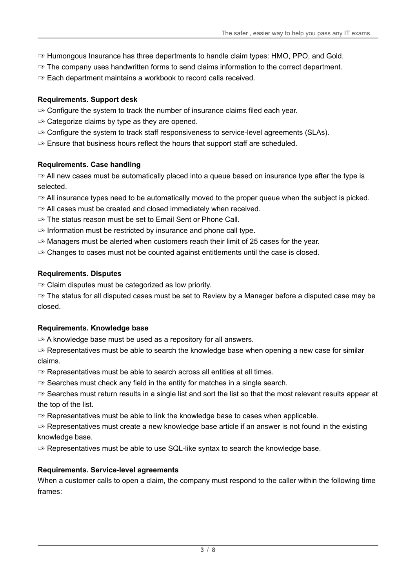The safer , easier way to help you pass any IT exams.

- ✑ Humongous Insurance has three departments to handle claim types: HMO, PPO, and Gold.
- $\infty$  The company uses handwritten forms to send claims information to the correct department.
- ✑ Each department maintains a workbook to record calls received.

#### **Requirements. Support desk**

- ✑ Configure the system to track the number of insurance claims filed each year.
- $\Rightarrow$  Categorize claims by type as they are opened.
- ✑ Configure the system to track staff responsiveness to service-level agreements (SLAs).
- $\infty$  Ensure that business hours reflect the hours that support staff are scheduled.

#### **Requirements. Case handling**

 $\infty$  All new cases must be automatically placed into a queue based on insurance type after the type is selected.

- $\infty$  All insurance types need to be automatically moved to the proper queue when the subject is picked.
- $\infty$  All cases must be created and closed immediately when received.
- ✑ The status reason must be set to Email Sent or Phone Call.
- $\infty$  Information must be restricted by insurance and phone call type.
- $\infty$  Managers must be alerted when customers reach their limit of 25 cases for the year.
- $\infty$  Changes to cases must not be counted against entitlements until the case is closed.

#### **Requirements. Disputes**

✑ Claim disputes must be categorized as low priority.

 $\infty$  The status for all disputed cases must be set to Review by a Manager before a disputed case may be closed.

#### **Requirements. Knowledge base**

✑ A knowledge base must be used as a repository for all answers.

 $\infty$  Representatives must be able to search the knowledge base when opening a new case for similar claims.

 $\heartsuit$  Representatives must be able to search across all entities at all times.

 $\infty$  Searches must check any field in the entity for matches in a single search.

 $\infty$  Searches must return results in a single list and sort the list so that the most relevant results appear at the top of the list.

✑ Representatives must be able to link the knowledge base to cases when applicable.

 $\infty$  Representatives must create a new knowledge base article if an answer is not found in the existing knowledge base.

 $\infty$  Representatives must be able to use SQL-like syntax to search the knowledge base.

#### **Requirements. Service-level agreements**

When a customer calls to open a claim, the company must respond to the caller within the following time frames: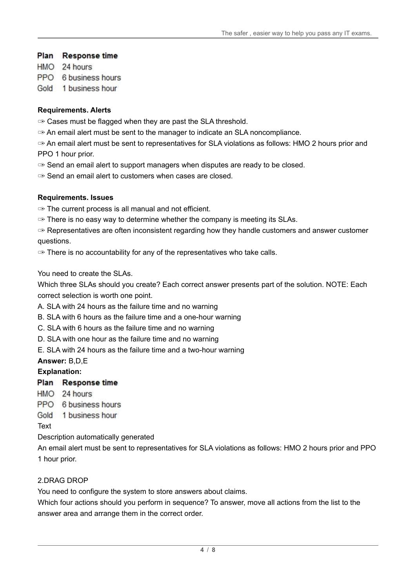### Plan Response time

HMO 24 hours

PPO 6 business hours

Gold 1 business hour

#### **Requirements. Alerts**

 $\infty$  Cases must be flagged when they are past the SLA threshold.

✑ An email alert must be sent to the manager to indicate an SLA noncompliance.

 $\infty$  An email alert must be sent to representatives for SLA violations as follows: HMO 2 hours prior and PPO 1 hour prior.

 $\infty$  Send an email alert to support managers when disputes are ready to be closed.

✑ Send an email alert to customers when cases are closed.

### **Requirements. Issues**

 $\infty$  The current process is all manual and not efficient.

 $\infty$  There is no easy way to determine whether the company is meeting its SLAs.

 $\infty$  Representatives are often inconsistent regarding how they handle customers and answer customer questions.

 $\infty$  There is no accountability for any of the representatives who take calls.

You need to create the SLAs.

Which three SLAs should you create? Each correct answer presents part of the solution. NOTE: Each correct selection is worth one point.

A. SLA with 24 hours as the failure time and no warning

- B. SLA with 6 hours as the failure time and a one-hour warning
- C. SLA with 6 hours as the failure time and no warning
- D. SLA with one hour as the failure time and no warning
- E. SLA with 24 hours as the failure time and a two-hour warning

### **Answer:** B,D,E

### **Explanation:**

#### Plan Response time

- HMO 24 hours
- PPO 6 business hours
- Gold 1 business hour

Text

Description automatically generated

An email alert must be sent to representatives for SLA violations as follows: HMO 2 hours prior and PPO 1 hour prior.

### 2.DRAG DROP

You need to configure the system to store answers about claims.

Which four actions should you perform in sequence? To answer, move all actions from the list to the answer area and arrange them in the correct order.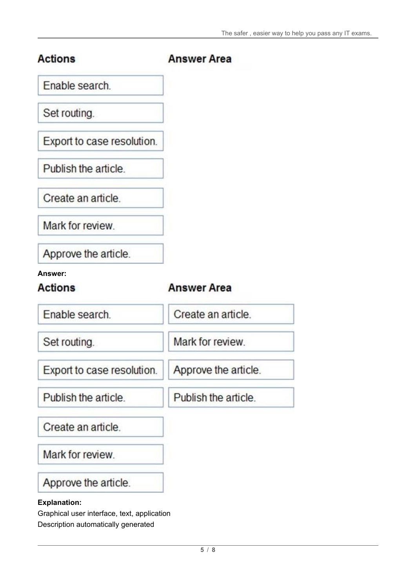| <b>Actions</b>                   | <b>Answer Area</b>   |
|----------------------------------|----------------------|
| Enable search.                   |                      |
| Set routing.                     |                      |
| Export to case resolution.       |                      |
| Publish the article.             |                      |
| Create an article.               |                      |
| Mark for review.                 |                      |
| Approve the article.             |                      |
| <b>Answer:</b><br><b>Actions</b> | <b>Answer Area</b>   |
| Enable search.                   | Create an article.   |
| Set routing.                     | Mark for review.     |
| Export to case resolution.       | Approve the article. |
| Publish the article.             | Publish the article. |
| Create an article.               |                      |
| Mark for review.                 |                      |
| Approve the article.             |                      |
| <b>Explanation:</b>              |                      |

Graphical user interface, text, application Description automatically generated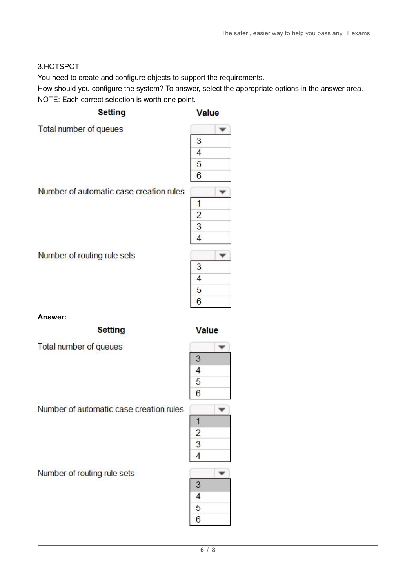## 3.HOTSPOT

You need to create and configure objects to support the requirements.

How should you configure the system? To answer, select the appropriate options in the answer area. NOTE: Each correct selection is worth one point.

**Setting** 

Number of automatic case creation rules

Value

Total number of queues

| 3             |  |
|---------------|--|
| $\frac{1}{4}$ |  |
| 5             |  |
| $\frac{6}{6}$ |  |
|               |  |
| 1             |  |
| $\frac{2}{1}$ |  |
| $\frac{3}{4}$ |  |
|               |  |
|               |  |

Number of routing rule sets

**Answer:**

**Setting** 

Value

 $\overline{1}$  $\overline{2}$ 3

Total number of queues

Number of automatic case creation rules

Number of routing rule sets

 $\overline{\mathbf{v}}$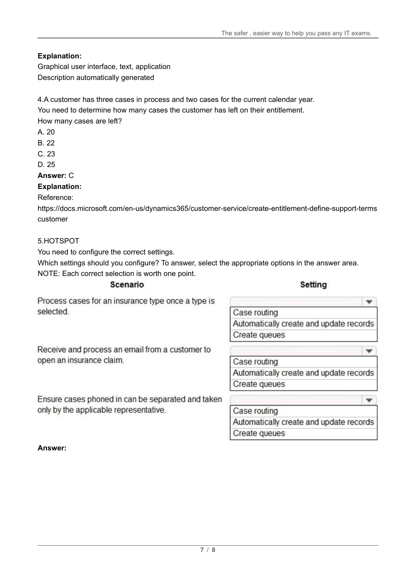## **Explanation:**

Graphical user interface, text, application Description automatically generated

4.A customer has three cases in process and two cases for the current calendar year. You need to determine how many cases the customer has left on their entitlement. How many cases are left?

A. 20

B. 22

C. 23

D. 25

#### **Answer:** C

### **Explanation:**

Reference:

https://docs.microsoft.com/en-us/dynamics365/customer-service/create-entitlement-define-support-terms customer

#### 5.HOTSPOT

You need to configure the correct settings.

Which settings should you configure? To answer, select the appropriate options in the answer area. NOTE: Each correct selection is worth one point.

Scenario

#### Setting

 $\overline{\mathbf{v}}$ 

÷

Process cases for an insurance type once a type is selected

Case routing Automatically create and update records **Create queues** 

Receive and process an email from a customer to open an insurance claim.

Ensure cases phoned in can be separated and taken only by the applicable representative.

## Case routing Automatically create and update records Create queues

٠ Case routing Automatically create and update records Create queues

**Answer:**